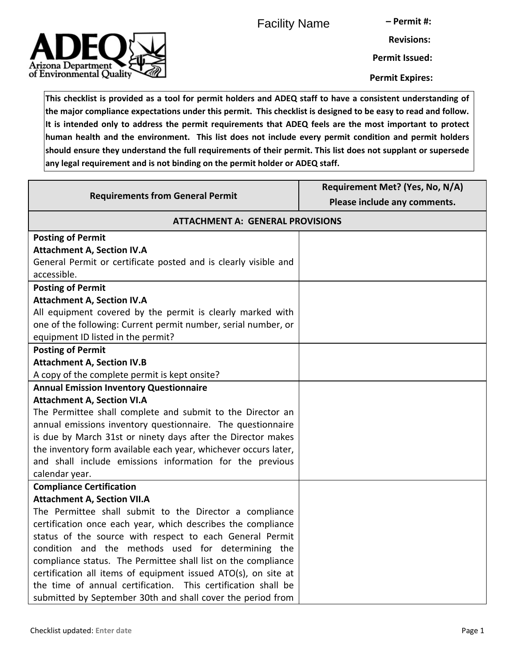Facility Name

**– Permit #:**



**Permit Issued:**

**Permit Expires:**

**This checklist is provided as a tool for permit holders and ADEQ staff to have a consistent understanding of the major compliance expectations under this permit. This checklist is designed to be easy to read and follow. It is intended only to address the permit requirements that ADEQ feels are the most important to protect human health and the environment. This list does not include every permit condition and permit holders should ensure they understand the full requirements of their permit. This list does not supplant or supersede any legal requirement and is not binding on the permit holder or ADEQ staff.**

| <b>Requirements from General Permit</b>                         | Requirement Met? (Yes, No, N/A)<br>Please include any comments. |
|-----------------------------------------------------------------|-----------------------------------------------------------------|
| <b>ATTACHMENT A: GENERAL PROVISIONS</b>                         |                                                                 |
| <b>Posting of Permit</b>                                        |                                                                 |
| <b>Attachment A, Section IV.A</b>                               |                                                                 |
| General Permit or certificate posted and is clearly visible and |                                                                 |
| accessible.                                                     |                                                                 |
| <b>Posting of Permit</b>                                        |                                                                 |
| <b>Attachment A, Section IV.A</b>                               |                                                                 |
| All equipment covered by the permit is clearly marked with      |                                                                 |
| one of the following: Current permit number, serial number, or  |                                                                 |
| equipment ID listed in the permit?                              |                                                                 |
| <b>Posting of Permit</b>                                        |                                                                 |
| <b>Attachment A, Section IV.B</b>                               |                                                                 |
| A copy of the complete permit is kept onsite?                   |                                                                 |
| <b>Annual Emission Inventory Questionnaire</b>                  |                                                                 |
| <b>Attachment A, Section VI.A</b>                               |                                                                 |
| The Permittee shall complete and submit to the Director an      |                                                                 |
| annual emissions inventory questionnaire. The questionnaire     |                                                                 |
| is due by March 31st or ninety days after the Director makes    |                                                                 |
| the inventory form available each year, whichever occurs later, |                                                                 |
| and shall include emissions information for the previous        |                                                                 |
| calendar year.                                                  |                                                                 |
| <b>Compliance Certification</b>                                 |                                                                 |
| <b>Attachment A, Section VII.A</b>                              |                                                                 |
| The Permittee shall submit to the Director a compliance         |                                                                 |
| certification once each year, which describes the compliance    |                                                                 |
| status of the source with respect to each General Permit        |                                                                 |
| condition and the methods used for determining the              |                                                                 |
| compliance status. The Permittee shall list on the compliance   |                                                                 |
| certification all items of equipment issued ATO(s), on site at  |                                                                 |
| the time of annual certification. This certification shall be   |                                                                 |
| submitted by September 30th and shall cover the period from     |                                                                 |

Arizona Department of Environmental Quality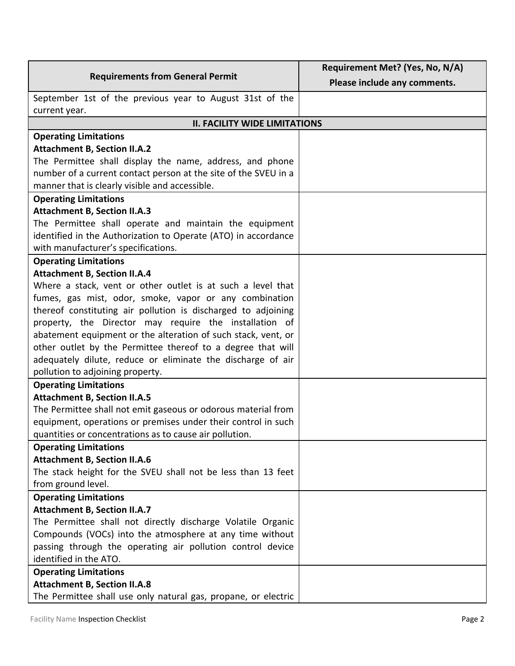|                                                                 | Requirement Met? (Yes, No, N/A) |
|-----------------------------------------------------------------|---------------------------------|
| <b>Requirements from General Permit</b>                         | Please include any comments.    |
| September 1st of the previous year to August 31st of the        |                                 |
| current year.                                                   |                                 |
| <b>II. FACILITY WIDE LIMITATIONS</b>                            |                                 |
| <b>Operating Limitations</b>                                    |                                 |
| <b>Attachment B, Section II.A.2</b>                             |                                 |
| The Permittee shall display the name, address, and phone        |                                 |
| number of a current contact person at the site of the SVEU in a |                                 |
| manner that is clearly visible and accessible.                  |                                 |
| <b>Operating Limitations</b>                                    |                                 |
| <b>Attachment B, Section II.A.3</b>                             |                                 |
| The Permittee shall operate and maintain the equipment          |                                 |
| identified in the Authorization to Operate (ATO) in accordance  |                                 |
| with manufacturer's specifications.                             |                                 |
| <b>Operating Limitations</b>                                    |                                 |
| <b>Attachment B, Section II.A.4</b>                             |                                 |
| Where a stack, vent or other outlet is at such a level that     |                                 |
| fumes, gas mist, odor, smoke, vapor or any combination          |                                 |
| thereof constituting air pollution is discharged to adjoining   |                                 |
| property, the Director may require the installation of          |                                 |
| abatement equipment or the alteration of such stack, vent, or   |                                 |
| other outlet by the Permittee thereof to a degree that will     |                                 |
| adequately dilute, reduce or eliminate the discharge of air     |                                 |
| pollution to adjoining property.                                |                                 |
| <b>Operating Limitations</b>                                    |                                 |
| <b>Attachment B, Section II.A.5</b>                             |                                 |
| The Permittee shall not emit gaseous or odorous material from   |                                 |
| equipment, operations or premises under their control in such   |                                 |
| quantities or concentrations as to cause air pollution.         |                                 |
| <b>Operating Limitations</b>                                    |                                 |
| <b>Attachment B, Section II.A.6</b>                             |                                 |
| The stack height for the SVEU shall not be less than 13 feet    |                                 |
| from ground level.                                              |                                 |
| <b>Operating Limitations</b>                                    |                                 |
| <b>Attachment B, Section II.A.7</b>                             |                                 |
| The Permittee shall not directly discharge Volatile Organic     |                                 |
| Compounds (VOCs) into the atmosphere at any time without        |                                 |
| passing through the operating air pollution control device      |                                 |
| identified in the ATO.                                          |                                 |
| <b>Operating Limitations</b>                                    |                                 |
| <b>Attachment B, Section II.A.8</b>                             |                                 |
| The Permittee shall use only natural gas, propane, or electric  |                                 |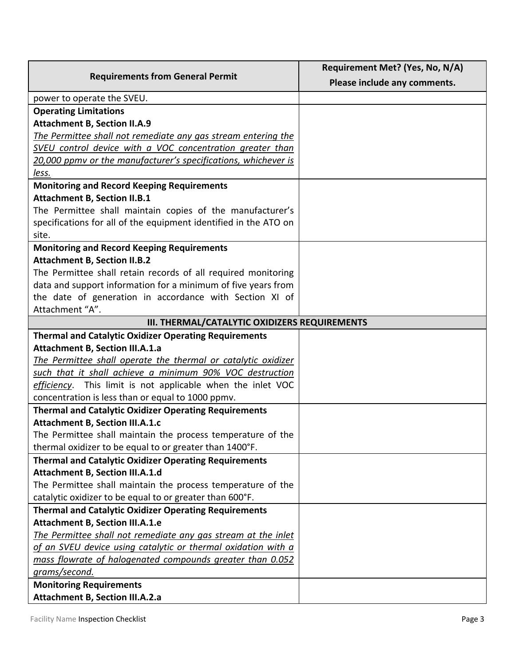|                                                                  | Requirement Met? (Yes, No, N/A) |
|------------------------------------------------------------------|---------------------------------|
| <b>Requirements from General Permit</b>                          | Please include any comments.    |
| power to operate the SVEU.                                       |                                 |
| <b>Operating Limitations</b>                                     |                                 |
| <b>Attachment B, Section II.A.9</b>                              |                                 |
| The Permittee shall not remediate any gas stream entering the    |                                 |
| SVEU control device with a VOC concentration greater than        |                                 |
| 20,000 ppmy or the manufacturer's specifications, whichever is   |                                 |
| less.                                                            |                                 |
| <b>Monitoring and Record Keeping Requirements</b>                |                                 |
| <b>Attachment B, Section II.B.1</b>                              |                                 |
| The Permittee shall maintain copies of the manufacturer's        |                                 |
| specifications for all of the equipment identified in the ATO on |                                 |
| site.                                                            |                                 |
| <b>Monitoring and Record Keeping Requirements</b>                |                                 |
| <b>Attachment B, Section II.B.2</b>                              |                                 |
| The Permittee shall retain records of all required monitoring    |                                 |
| data and support information for a minimum of five years from    |                                 |
| the date of generation in accordance with Section XI of          |                                 |
| Attachment "A".                                                  |                                 |
| III. THERMAL/CATALYTIC OXIDIZERS REQUIREMENTS                    |                                 |
| <b>Thermal and Catalytic Oxidizer Operating Requirements</b>     |                                 |
| <b>Attachment B, Section III.A.1.a</b>                           |                                 |
| The Permittee shall operate the thermal or catalytic oxidizer    |                                 |
| such that it shall achieve a minimum 90% VOC destruction         |                                 |
| efficiency. This limit is not applicable when the inlet VOC      |                                 |
| concentration is less than or equal to 1000 ppmv.                |                                 |
| <b>Thermal and Catalytic Oxidizer Operating Requirements</b>     |                                 |
| <b>Attachment B, Section III.A.1.c</b>                           |                                 |
| The Permittee shall maintain the process temperature of the      |                                 |
| thermal oxidizer to be equal to or greater than 1400°F.          |                                 |
| <b>Thermal and Catalytic Oxidizer Operating Requirements</b>     |                                 |
| Attachment B, Section III.A.1.d                                  |                                 |
| The Permittee shall maintain the process temperature of the      |                                 |
| catalytic oxidizer to be equal to or greater than 600°F.         |                                 |
| <b>Thermal and Catalytic Oxidizer Operating Requirements</b>     |                                 |
| <b>Attachment B, Section III.A.1.e</b>                           |                                 |
| The Permittee shall not remediate any gas stream at the inlet    |                                 |
| of an SVEU device using catalytic or thermal oxidation with a    |                                 |
| mass flowrate of halogenated compounds greater than 0.052        |                                 |
| grams/second.                                                    |                                 |
| <b>Monitoring Requirements</b>                                   |                                 |
| <b>Attachment B, Section III.A.2.a</b>                           |                                 |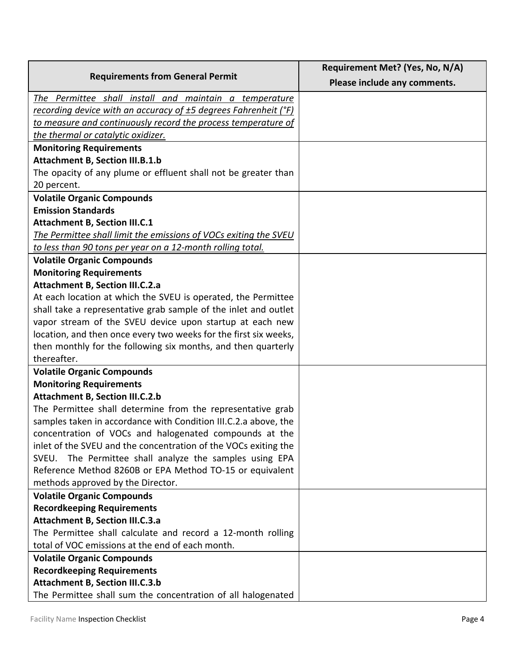|                                                                                                                           | Requirement Met? (Yes, No, N/A) |
|---------------------------------------------------------------------------------------------------------------------------|---------------------------------|
| <b>Requirements from General Permit</b>                                                                                   | Please include any comments.    |
| The Permittee shall install and maintain a temperature                                                                    |                                 |
| recording device with an accuracy of ±5 degrees Fahrenheit (°F)                                                           |                                 |
| to measure and continuously record the process temperature of                                                             |                                 |
| the thermal or catalytic oxidizer.                                                                                        |                                 |
| <b>Monitoring Requirements</b>                                                                                            |                                 |
| <b>Attachment B, Section III.B.1.b</b>                                                                                    |                                 |
| The opacity of any plume or effluent shall not be greater than                                                            |                                 |
| 20 percent.                                                                                                               |                                 |
| <b>Volatile Organic Compounds</b>                                                                                         |                                 |
| <b>Emission Standards</b>                                                                                                 |                                 |
| <b>Attachment B, Section III.C.1</b>                                                                                      |                                 |
| The Permittee shall limit the emissions of VOCs exiting the SVEU                                                          |                                 |
| to less than 90 tons per year on a 12-month rolling total.                                                                |                                 |
| <b>Volatile Organic Compounds</b>                                                                                         |                                 |
| <b>Monitoring Requirements</b>                                                                                            |                                 |
| <b>Attachment B, Section III.C.2.a</b>                                                                                    |                                 |
| At each location at which the SVEU is operated, the Permittee                                                             |                                 |
| shall take a representative grab sample of the inlet and outlet                                                           |                                 |
| vapor stream of the SVEU device upon startup at each new                                                                  |                                 |
| location, and then once every two weeks for the first six weeks,                                                          |                                 |
| then monthly for the following six months, and then quarterly                                                             |                                 |
| thereafter.                                                                                                               |                                 |
| <b>Volatile Organic Compounds</b>                                                                                         |                                 |
| <b>Monitoring Requirements</b>                                                                                            |                                 |
| <b>Attachment B, Section III.C.2.b</b>                                                                                    |                                 |
| The Permittee shall determine from the representative grab                                                                |                                 |
| samples taken in accordance with Condition III.C.2.a above, the<br>concentration of VOCs and halogenated compounds at the |                                 |
| inlet of the SVEU and the concentration of the VOCs exiting the                                                           |                                 |
| The Permittee shall analyze the samples using EPA<br>SVEU.                                                                |                                 |
| Reference Method 8260B or EPA Method TO-15 or equivalent                                                                  |                                 |
| methods approved by the Director.                                                                                         |                                 |
| <b>Volatile Organic Compounds</b>                                                                                         |                                 |
| <b>Recordkeeping Requirements</b>                                                                                         |                                 |
| <b>Attachment B, Section III.C.3.a</b>                                                                                    |                                 |
| The Permittee shall calculate and record a 12-month rolling                                                               |                                 |
| total of VOC emissions at the end of each month.                                                                          |                                 |
| <b>Volatile Organic Compounds</b>                                                                                         |                                 |
| <b>Recordkeeping Requirements</b>                                                                                         |                                 |
| <b>Attachment B, Section III.C.3.b</b>                                                                                    |                                 |
| The Permittee shall sum the concentration of all halogenated                                                              |                                 |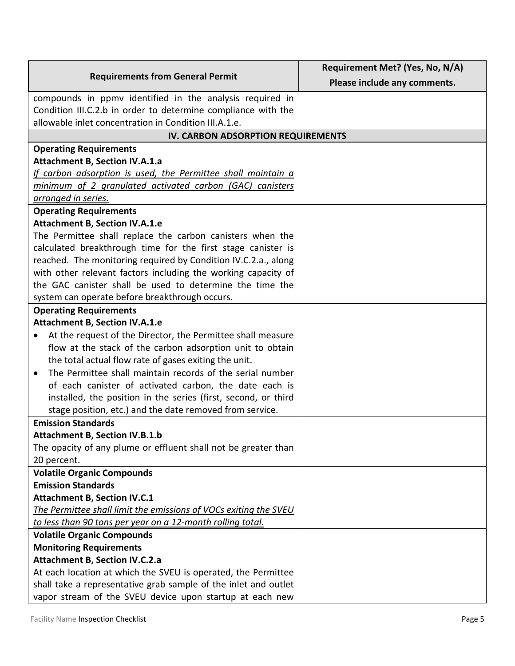|                                                                          | Requirement Met? (Yes, No, N/A) |
|--------------------------------------------------------------------------|---------------------------------|
| <b>Requirements from General Permit</b>                                  | Please include any comments.    |
| compounds in ppmv identified in the analysis required in                 |                                 |
| Condition III.C.2.b in order to determine compliance with the            |                                 |
| allowable inlet concentration in Condition III.A.1.e.                    |                                 |
| IV. CARBON ADSORPTION REQUIREMENTS                                       |                                 |
| <b>Operating Requirements</b>                                            |                                 |
| <b>Attachment B, Section IV.A.1.a</b>                                    |                                 |
| If carbon adsorption is used, the Permittee shall maintain a             |                                 |
| minimum of 2 granulated activated carbon (GAC) canisters                 |                                 |
| arranged in series.                                                      |                                 |
| <b>Operating Requirements</b>                                            |                                 |
| <b>Attachment B, Section IV.A.1.e</b>                                    |                                 |
| The Permittee shall replace the carbon canisters when the                |                                 |
| calculated breakthrough time for the first stage canister is             |                                 |
| reached. The monitoring required by Condition IV.C.2.a., along           |                                 |
| with other relevant factors including the working capacity of            |                                 |
| the GAC canister shall be used to determine the time the                 |                                 |
| system can operate before breakthrough occurs.                           |                                 |
| <b>Operating Requirements</b>                                            |                                 |
| <b>Attachment B, Section IV.A.1.e</b>                                    |                                 |
| At the request of the Director, the Permittee shall measure<br>$\bullet$ |                                 |
| flow at the stack of the carbon adsorption unit to obtain                |                                 |
| the total actual flow rate of gases exiting the unit.                    |                                 |
| The Permittee shall maintain records of the serial number<br>$\bullet$   |                                 |
| of each canister of activated carbon, the date each is                   |                                 |
| installed, the position in the series (first, second, or third           |                                 |
| stage position, etc.) and the date removed from service.                 |                                 |
| <b>Emission Standards</b>                                                |                                 |
| <b>Attachment B, Section IV.B.1.b</b>                                    |                                 |
| The opacity of any plume or effluent shall not be greater than           |                                 |
| 20 percent.<br><b>Volatile Organic Compounds</b>                         |                                 |
| <b>Emission Standards</b>                                                |                                 |
| <b>Attachment B, Section IV.C.1</b>                                      |                                 |
| The Permittee shall limit the emissions of VOCs exiting the SVEU         |                                 |
| to less than 90 tons per year on a 12-month rolling total.               |                                 |
| <b>Volatile Organic Compounds</b>                                        |                                 |
| <b>Monitoring Requirements</b>                                           |                                 |
| <b>Attachment B, Section IV.C.2.a</b>                                    |                                 |
| At each location at which the SVEU is operated, the Permittee            |                                 |
| shall take a representative grab sample of the inlet and outlet          |                                 |
| vapor stream of the SVEU device upon startup at each new                 |                                 |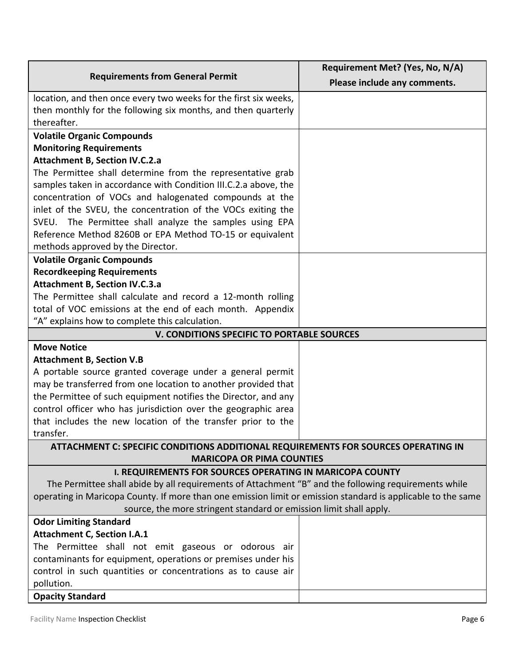|                                                                                                              | Requirement Met? (Yes, No, N/A) |
|--------------------------------------------------------------------------------------------------------------|---------------------------------|
| <b>Requirements from General Permit</b>                                                                      | Please include any comments.    |
| location, and then once every two weeks for the first six weeks,                                             |                                 |
| then monthly for the following six months, and then quarterly                                                |                                 |
| thereafter.                                                                                                  |                                 |
| <b>Volatile Organic Compounds</b>                                                                            |                                 |
| <b>Monitoring Requirements</b>                                                                               |                                 |
| <b>Attachment B, Section IV.C.2.a</b>                                                                        |                                 |
| The Permittee shall determine from the representative grab                                                   |                                 |
| samples taken in accordance with Condition III.C.2.a above, the                                              |                                 |
| concentration of VOCs and halogenated compounds at the                                                       |                                 |
| inlet of the SVEU, the concentration of the VOCs exiting the                                                 |                                 |
| SVEU. The Permittee shall analyze the samples using EPA                                                      |                                 |
| Reference Method 8260B or EPA Method TO-15 or equivalent                                                     |                                 |
| methods approved by the Director.                                                                            |                                 |
| <b>Volatile Organic Compounds</b><br><b>Recordkeeping Requirements</b>                                       |                                 |
| <b>Attachment B, Section IV.C.3.a</b>                                                                        |                                 |
| The Permittee shall calculate and record a 12-month rolling                                                  |                                 |
| total of VOC emissions at the end of each month. Appendix                                                    |                                 |
| "A" explains how to complete this calculation.                                                               |                                 |
| V. CONDITIONS SPECIFIC TO PORTABLE SOURCES                                                                   |                                 |
| <b>Move Notice</b>                                                                                           |                                 |
| <b>Attachment B, Section V.B</b>                                                                             |                                 |
| A portable source granted coverage under a general permit                                                    |                                 |
| may be transferred from one location to another provided that                                                |                                 |
| the Permittee of such equipment notifies the Director, and any                                               |                                 |
| control officer who has jurisdiction over the geographic area                                                |                                 |
| that includes the new location of the transfer prior to the                                                  |                                 |
| transfer.                                                                                                    |                                 |
| ATTACHMENT C: SPECIFIC CONDITIONS ADDITIONAL REQUIREMENTS FOR SOURCES OPERATING IN                           |                                 |
| <b>MARICOPA OR PIMA COUNTIES</b>                                                                             |                                 |
| <b>I. REQUIREMENTS FOR SOURCES OPERATING IN MARICOPA COUNTY</b>                                              |                                 |
| The Permittee shall abide by all requirements of Attachment "B" and the following requirements while         |                                 |
| operating in Maricopa County. If more than one emission limit or emission standard is applicable to the same |                                 |
| source, the more stringent standard or emission limit shall apply.                                           |                                 |
| <b>Odor Limiting Standard</b>                                                                                |                                 |
| <b>Attachment C, Section I.A.1</b>                                                                           |                                 |
| The Permittee shall not emit gaseous or odorous air                                                          |                                 |
| contaminants for equipment, operations or premises under his                                                 |                                 |
| control in such quantities or concentrations as to cause air                                                 |                                 |
| pollution.                                                                                                   |                                 |
| <b>Opacity Standard</b>                                                                                      |                                 |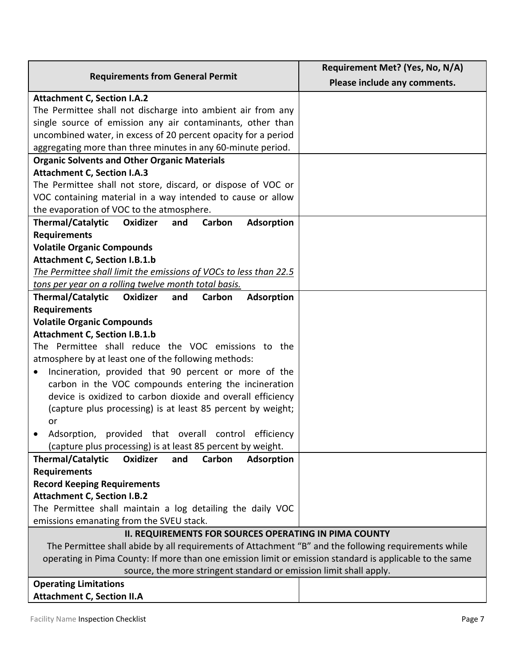| <b>Requirements from General Permit</b>                                                                  | Requirement Met? (Yes, No, N/A) |
|----------------------------------------------------------------------------------------------------------|---------------------------------|
|                                                                                                          | Please include any comments.    |
| <b>Attachment C, Section I.A.2</b>                                                                       |                                 |
| The Permittee shall not discharge into ambient air from any                                              |                                 |
| single source of emission any air contaminants, other than                                               |                                 |
| uncombined water, in excess of 20 percent opacity for a period                                           |                                 |
| aggregating more than three minutes in any 60-minute period.                                             |                                 |
| <b>Organic Solvents and Other Organic Materials</b>                                                      |                                 |
| <b>Attachment C, Section I.A.3</b>                                                                       |                                 |
| The Permittee shall not store, discard, or dispose of VOC or                                             |                                 |
| VOC containing material in a way intended to cause or allow                                              |                                 |
| the evaporation of VOC to the atmosphere.                                                                |                                 |
| <b>Thermal/Catalytic</b><br>Oxidizer<br>Carbon<br><b>Adsorption</b><br>and                               |                                 |
| <b>Requirements</b>                                                                                      |                                 |
| <b>Volatile Organic Compounds</b>                                                                        |                                 |
| <b>Attachment C, Section I.B.1.b</b>                                                                     |                                 |
| The Permittee shall limit the emissions of VOCs to less than 22.5                                        |                                 |
| tons per year on a rolling twelve month total basis.                                                     |                                 |
| <b>Adsorption</b><br>Thermal/Catalytic<br>Oxidizer<br>and<br>Carbon                                      |                                 |
| <b>Requirements</b>                                                                                      |                                 |
| <b>Volatile Organic Compounds</b>                                                                        |                                 |
| <b>Attachment C, Section I.B.1.b</b>                                                                     |                                 |
| The Permittee shall reduce the VOC emissions to the                                                      |                                 |
| atmosphere by at least one of the following methods:                                                     |                                 |
| Incineration, provided that 90 percent or more of the<br>$\bullet$                                       |                                 |
| carbon in the VOC compounds entering the incineration                                                    |                                 |
| device is oxidized to carbon dioxide and overall efficiency                                              |                                 |
| (capture plus processing) is at least 85 percent by weight;                                              |                                 |
| or                                                                                                       |                                 |
| efficiency<br>Adsorption,<br>provided that overall<br>control                                            |                                 |
| (capture plus processing) is at least 85 percent by weight.                                              |                                 |
| <b>Thermal/Catalytic</b><br><b>Oxidizer</b><br>and<br>Carbon<br><b>Adsorption</b>                        |                                 |
| <b>Requirements</b><br><b>Record Keeping Requirements</b>                                                |                                 |
| <b>Attachment C, Section I.B.2</b>                                                                       |                                 |
| The Permittee shall maintain a log detailing the daily VOC                                               |                                 |
| emissions emanating from the SVEU stack.                                                                 |                                 |
| <b>II. REQUIREMENTS FOR SOURCES OPERATING IN PIMA COUNTY</b>                                             |                                 |
| The Permittee shall abide by all requirements of Attachment "B" and the following requirements while     |                                 |
| operating in Pima County: If more than one emission limit or emission standard is applicable to the same |                                 |
| source, the more stringent standard or emission limit shall apply.                                       |                                 |
| <b>Operating Limitations</b>                                                                             |                                 |
| <b>Attachment C, Section II.A</b>                                                                        |                                 |